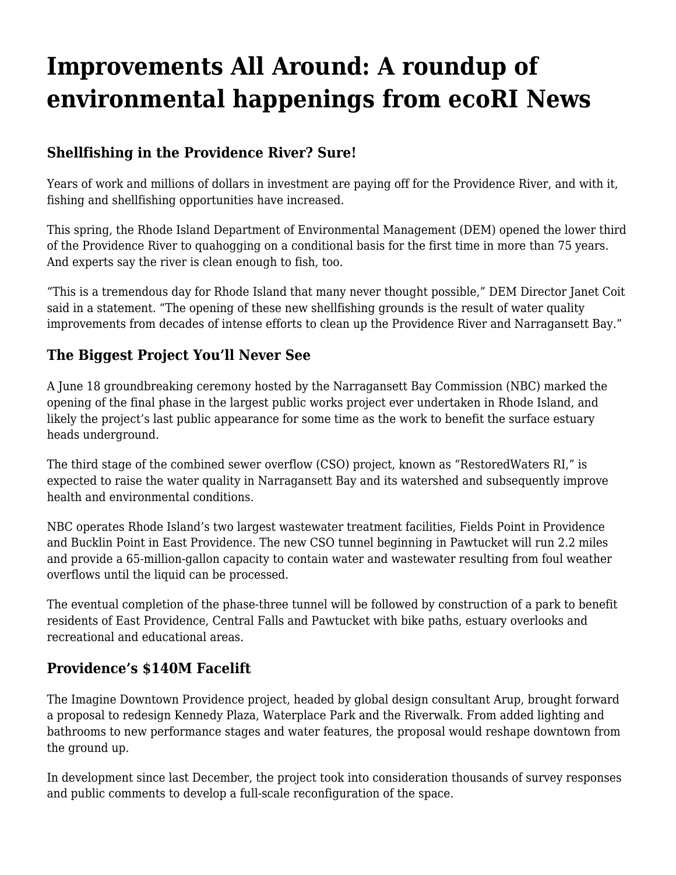# **[Improvements All Around: A roundup of](https://motifri.com/improvements-all-around-a-roundup-of-environmental-happenings-from-ecori-news/) [environmental happenings from ecoRI News](https://motifri.com/improvements-all-around-a-roundup-of-environmental-happenings-from-ecori-news/)**

### **Shellfishing in the Providence River? Sure!**

Years of work and millions of dollars in investment are paying off for the Providence River, and with it, fishing and shellfishing opportunities have increased.

This spring, the Rhode Island Department of Environmental Management (DEM) opened the lower third of the Providence River to quahogging on a conditional basis for the first time in more than 75 years. And experts say the river is clean enough to fish, too.

"This is a tremendous day for Rhode Island that many never thought possible," DEM Director Janet Coit said in a statement. "The opening of these new shellfishing grounds is the result of water quality improvements from decades of intense efforts to clean up the Providence River and Narragansett Bay."

#### **The Biggest Project You'll Never See**

A June 18 groundbreaking ceremony hosted by the Narragansett Bay Commission (NBC) marked the opening of the final phase in the largest public works project ever undertaken in Rhode Island, and likely the project's last public appearance for some time as the work to benefit the surface estuary heads underground.

The third stage of the combined sewer overflow (CSO) project, known as "RestoredWaters RI," is expected to raise the water quality in Narragansett Bay and its watershed and subsequently improve health and environmental conditions.

NBC operates Rhode Island's two largest wastewater treatment facilities, Fields Point in Providence and Bucklin Point in East Providence. The new CSO tunnel beginning in Pawtucket will run 2.2 miles and provide a 65-million-gallon capacity to contain water and wastewater resulting from foul weather overflows until the liquid can be processed.

The eventual completion of the phase-three tunnel will be followed by construction of a park to benefit residents of East Providence, Central Falls and Pawtucket with bike paths, estuary overlooks and recreational and educational areas.

#### **Providence's \$140M Facelift**

The Imagine Downtown Providence project, headed by global design consultant Arup, brought forward a proposal to redesign Kennedy Plaza, Waterplace Park and the Riverwalk. From added lighting and bathrooms to new performance stages and water features, the proposal would reshape downtown from the ground up.

In development since last December, the project took into consideration thousands of survey responses and public comments to develop a full-scale reconfiguration of the space.